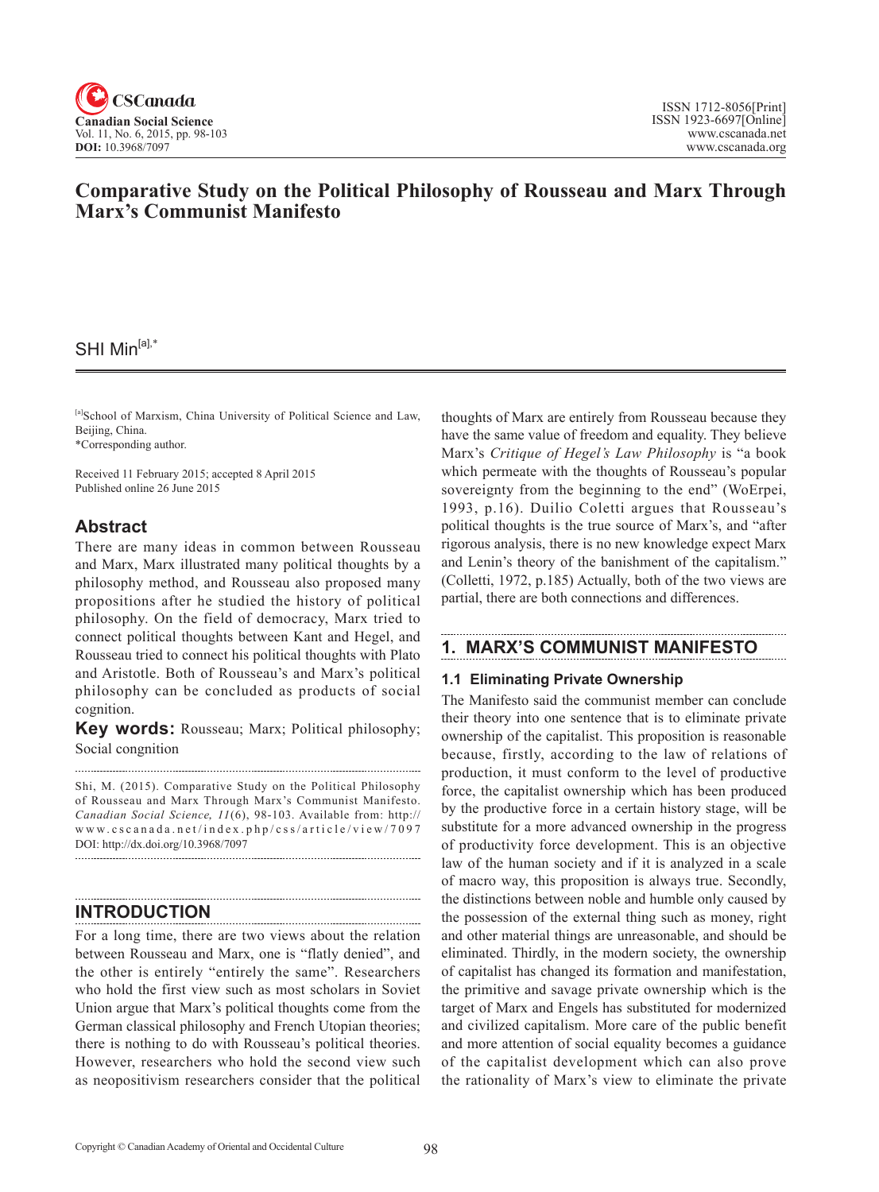

# **Comparative Study on the Political Philosophy of Rousseau and Marx Through Marx's Communist Manifesto**

## SHI Min<sup>[a],\*</sup>

[a]School of Marxism, China University of Political Science and Law, Beijing, China.

\*Corresponding author.

Received 11 February 2015; accepted 8 April 2015 Published online 26 June 2015

## **Abstract**

There are many ideas in common between Rousseau and Marx, Marx illustrated many political thoughts by a philosophy method, and Rousseau also proposed many propositions after he studied the history of political philosophy. On the field of democracy, Marx tried to connect political thoughts between Kant and Hegel, and Rousseau tried to connect his political thoughts with Plato and Aristotle. Both of Rousseau's and Marx's political philosophy can be concluded as products of social cognition.

**Key words:** Rousseau; Marx; Political philosophy; Social congnition

Shi, M. (2015). Comparative Study on the Political Philosophy of Rousseau and Marx Through Marx's Communist Manifesto. *Canadian Social Science*, <sup>11</sup> (6), 98-103. Available from: http:// www.cscanada.net/index.php/css/article/view/7097 DOI: http://dx.doi.org/10.3968/7097

## **INTRODUCTION**

For a long time, there are two views about the relation between Rousseau and Marx, one is "flatly denied", and the other is entirely "entirely the same". Researchers who hold the first view such as most scholars in Soviet Union argue that Marx's political thoughts come from the German classical philosophy and French Utopian theories; there is nothing to do with Rousseau's political theories. However, researchers who hold the second view such as neopositivism researchers consider that the political

thoughts of Marx are entirely from Rousseau because they have the same value of freedom and equality. They believe Marx's *Critique of Hegel's Law Philosophy* is "a book which permeate with the thoughts of Rousseau's popular sovereignty from the beginning to the end" (WoErpei, 1993, p.16). Duilio Coletti argues that Rousseau's political thoughts is the true source of Marx's, and "after rigorous analysis, there is no new knowledge expect Marx and Lenin's theory of the banishment of the capitalism." (Colletti, 1972, p.185) Actually, both of the two views are partial, there are both connections and differences.

## **1. MARX'S COMMUNIST MANIFESTO**

### **1.1 Eliminating Private Ownership**

The Manifesto said the communist member can conclude their theory into one sentence that is to eliminate private ownership of the capitalist. This proposition is reasonable because, firstly, according to the law of relations of production, it must conform to the level of productive force, the capitalist ownership which has been produced by the productive force in a certain history stage, will be substitute for a more advanced ownership in the progress of productivity force development. This is an objective law of the human society and if it is analyzed in a scale of macro way, this proposition is always true. Secondly, the distinctions between noble and humble only caused by the possession of the external thing such as money, right and other material things are unreasonable, and should be eliminated. Thirdly, in the modern society, the ownership of capitalist has changed its formation and manifestation, the primitive and savage private ownership which is the target of Marx and Engels has substituted for modernized and civilized capitalism. More care of the public benefit and more attention of social equality becomes a guidance of the capitalist development which can also prove the rationality of Marx's view to eliminate the private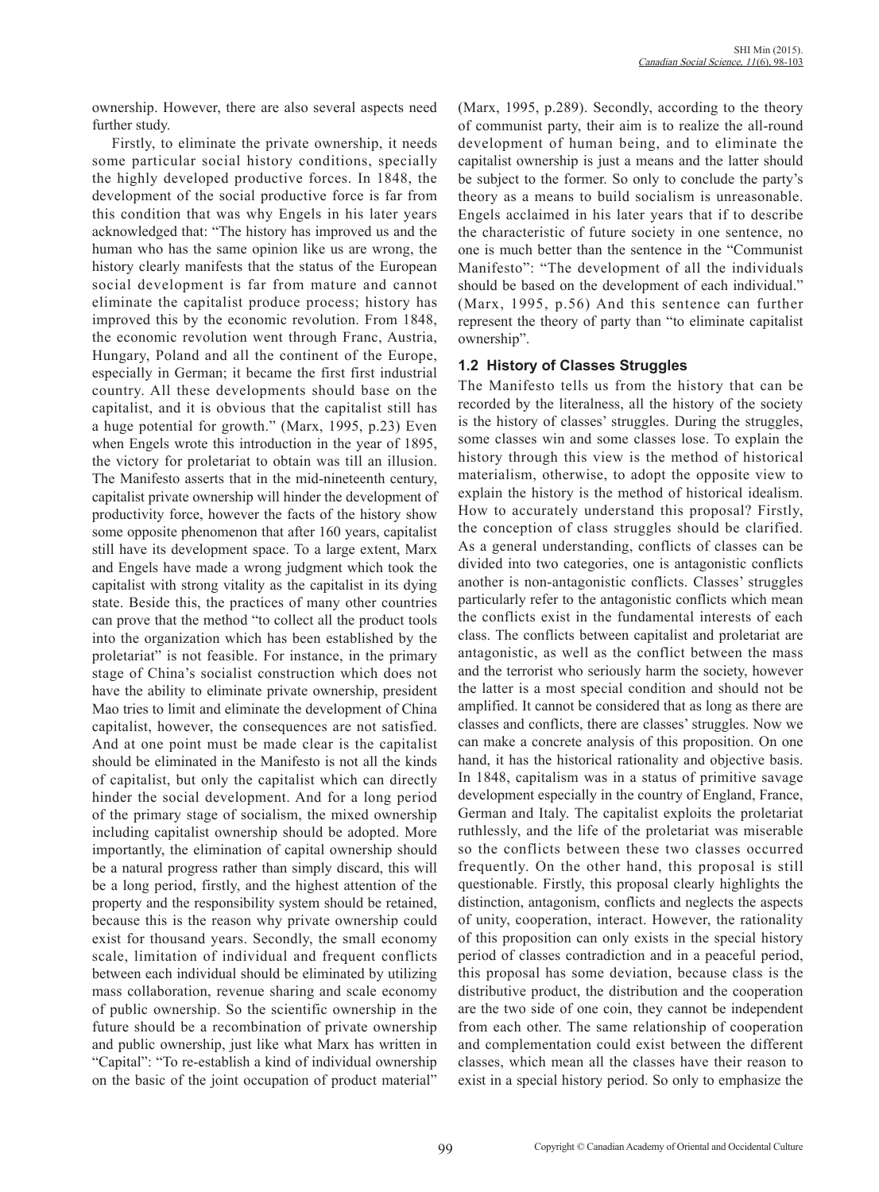ownership. However, there are also several aspects need further study.

Firstly, to eliminate the private ownership, it needs some particular social history conditions, specially the highly developed productive forces. In 1848, the development of the social productive force is far from this condition that was why Engels in his later years acknowledged that: "The history has improved us and the human who has the same opinion like us are wrong, the history clearly manifests that the status of the European social development is far from mature and cannot eliminate the capitalist produce process; history has improved this by the economic revolution. From 1848, the economic revolution went through Franc, Austria, Hungary, Poland and all the continent of the Europe, especially in German; it became the first first industrial country. All these developments should base on the capitalist, and it is obvious that the capitalist still has a huge potential for growth." (Marx, 1995, p.23) Even when Engels wrote this introduction in the year of 1895, the victory for proletariat to obtain was till an illusion. The Manifesto asserts that in the mid-nineteenth century, capitalist private ownership will hinder the development of productivity force, however the facts of the history show some opposite phenomenon that after 160 years, capitalist still have its development space. To a large extent, Marx and Engels have made a wrong judgment which took the capitalist with strong vitality as the capitalist in its dying state. Beside this, the practices of many other countries can prove that the method "to collect all the product tools into the organization which has been established by the proletariat" is not feasible. For instance, in the primary stage of China's socialist construction which does not have the ability to eliminate private ownership, president Mao tries to limit and eliminate the development of China capitalist, however, the consequences are not satisfied. And at one point must be made clear is the capitalist should be eliminated in the Manifesto is not all the kinds of capitalist, but only the capitalist which can directly hinder the social development. And for a long period of the primary stage of socialism, the mixed ownership including capitalist ownership should be adopted. More importantly, the elimination of capital ownership should be a natural progress rather than simply discard, this will be a long period, firstly, and the highest attention of the property and the responsibility system should be retained, because this is the reason why private ownership could exist for thousand years. Secondly, the small economy scale, limitation of individual and frequent conflicts between each individual should be eliminated by utilizing mass collaboration, revenue sharing and scale economy of public ownership. So the scientific ownership in the future should be a recombination of private ownership and public ownership, just like what Marx has written in "Capital": "To re-establish a kind of individual ownership on the basic of the joint occupation of product material"

(Marx, 1995, p.289). Secondly, according to the theory of communist party, their aim is to realize the all-round development of human being, and to eliminate the capitalist ownership is just a means and the latter should be subject to the former. So only to conclude the party's theory as a means to build socialism is unreasonable. Engels acclaimed in his later years that if to describe the characteristic of future society in one sentence, no one is much better than the sentence in the "Communist Manifesto": "The development of all the individuals should be based on the development of each individual." (Marx, 1995, p.56) And this sentence can further represent the theory of party than "to eliminate capitalist ownership".

### **1.2 History of Classes Struggles**

The Manifesto tells us from the history that can be recorded by the literalness, all the history of the society is the history of classes' struggles. During the struggles, some classes win and some classes lose. To explain the history through this view is the method of historical materialism, otherwise, to adopt the opposite view to explain the history is the method of historical idealism. How to accurately understand this proposal? Firstly, the conception of class struggles should be clarified. As a general understanding, conflicts of classes can be divided into two categories, one is antagonistic conflicts another is non-antagonistic conflicts. Classes' struggles particularly refer to the antagonistic conflicts which mean the conflicts exist in the fundamental interests of each class. The conflicts between capitalist and proletariat are antagonistic, as well as the conflict between the mass and the terrorist who seriously harm the society, however the latter is a most special condition and should not be amplified. It cannot be considered that as long as there are classes and conflicts, there are classes' struggles. Now we can make a concrete analysis of this proposition. On one hand, it has the historical rationality and objective basis. In 1848, capitalism was in a status of primitive savage development especially in the country of England, France, German and Italy. The capitalist exploits the proletariat ruthlessly, and the life of the proletariat was miserable so the conflicts between these two classes occurred frequently. On the other hand, this proposal is still questionable. Firstly, this proposal clearly highlights the distinction, antagonism, conflicts and neglects the aspects of unity, cooperation, interact. However, the rationality of this proposition can only exists in the special history period of classes contradiction and in a peaceful period, this proposal has some deviation, because class is the distributive product, the distribution and the cooperation are the two side of one coin, they cannot be independent from each other. The same relationship of cooperation and complementation could exist between the different classes, which mean all the classes have their reason to exist in a special history period. So only to emphasize the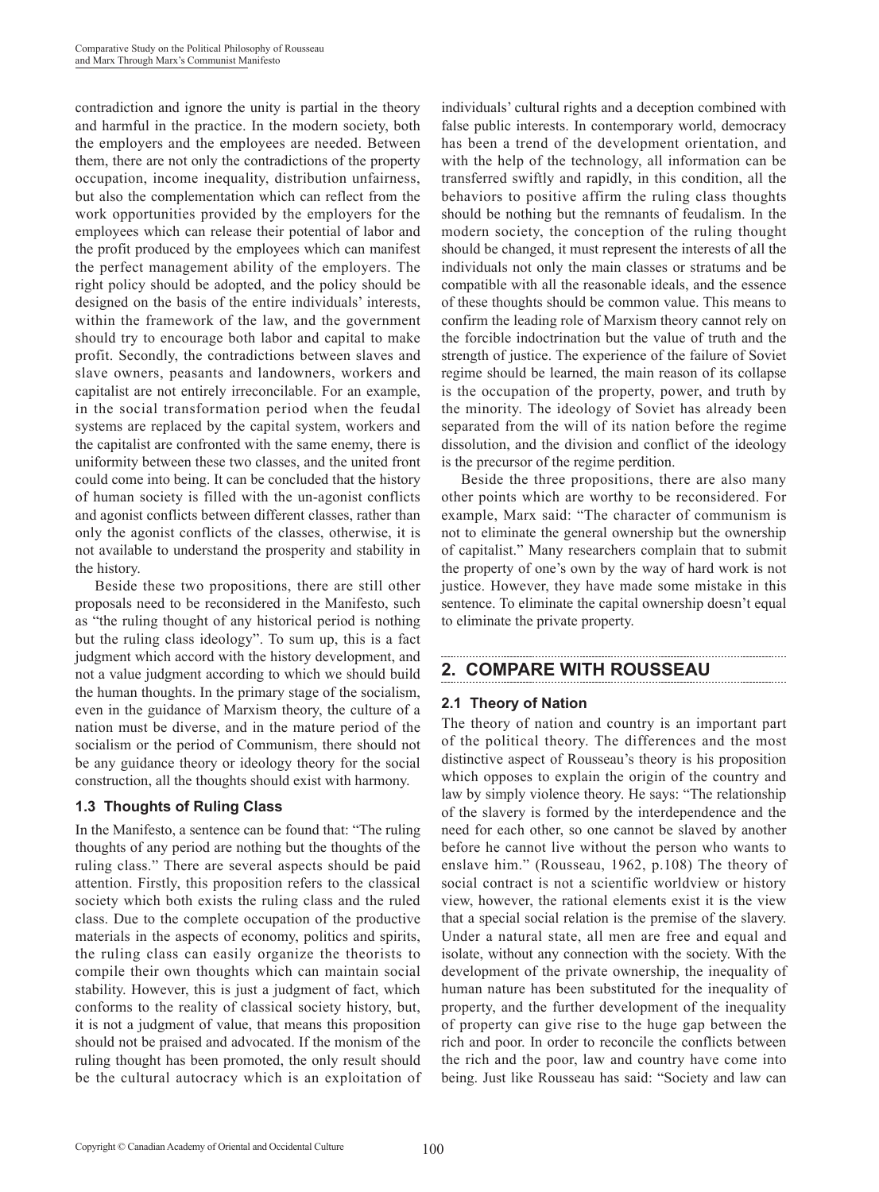contradiction and ignore the unity is partial in the theory and harmful in the practice. In the modern society, both the employers and the employees are needed. Between them, there are not only the contradictions of the property occupation, income inequality, distribution unfairness, but also the complementation which can reflect from the work opportunities provided by the employers for the employees which can release their potential of labor and the profit produced by the employees which can manifest the perfect management ability of the employers. The right policy should be adopted, and the policy should be designed on the basis of the entire individuals' interests, within the framework of the law, and the government should try to encourage both labor and capital to make profit. Secondly, the contradictions between slaves and slave owners, peasants and landowners, workers and capitalist are not entirely irreconcilable. For an example, in the social transformation period when the feudal systems are replaced by the capital system, workers and the capitalist are confronted with the same enemy, there is uniformity between these two classes, and the united front could come into being. It can be concluded that the history of human society is filled with the un-agonist conflicts and agonist conflicts between different classes, rather than only the agonist conflicts of the classes, otherwise, it is not available to understand the prosperity and stability in the history.

Beside these two propositions, there are still other proposals need to be reconsidered in the Manifesto, such as "the ruling thought of any historical period is nothing but the ruling class ideology". To sum up, this is a fact judgment which accord with the history development, and not a value judgment according to which we should build the human thoughts. In the primary stage of the socialism, even in the guidance of Marxism theory, the culture of a nation must be diverse, and in the mature period of the socialism or the period of Communism, there should not be any guidance theory or ideology theory for the social construction, all the thoughts should exist with harmony.

### **1.3 Thoughts of Ruling Class**

In the Manifesto, a sentence can be found that: "The ruling thoughts of any period are nothing but the thoughts of the ruling class." There are several aspects should be paid attention. Firstly, this proposition refers to the classical society which both exists the ruling class and the ruled class. Due to the complete occupation of the productive materials in the aspects of economy, politics and spirits, the ruling class can easily organize the theorists to compile their own thoughts which can maintain social stability. However, this is just a judgment of fact, which conforms to the reality of classical society history, but, it is not a judgment of value, that means this proposition should not be praised and advocated. If the monism of the ruling thought has been promoted, the only result should be the cultural autocracy which is an exploitation of

individuals' cultural rights and a deception combined with false public interests. In contemporary world, democracy has been a trend of the development orientation, and with the help of the technology, all information can be transferred swiftly and rapidly, in this condition, all the behaviors to positive affirm the ruling class thoughts should be nothing but the remnants of feudalism. In the modern society, the conception of the ruling thought should be changed, it must represent the interests of all the individuals not only the main classes or stratums and be compatible with all the reasonable ideals, and the essence of these thoughts should be common value. This means to confirm the leading role of Marxism theory cannot rely on the forcible indoctrination but the value of truth and the strength of justice. The experience of the failure of Soviet regime should be learned, the main reason of its collapse is the occupation of the property, power, and truth by the minority. The ideology of Soviet has already been separated from the will of its nation before the regime dissolution, and the division and conflict of the ideology is the precursor of the regime perdition.

Beside the three propositions, there are also many other points which are worthy to be reconsidered. For example, Marx said: "The character of communism is not to eliminate the general ownership but the ownership of capitalist." Many researchers complain that to submit the property of one's own by the way of hard work is not justice. However, they have made some mistake in this sentence. To eliminate the capital ownership doesn't equal to eliminate the private property.

## **2. COMPARE WITH ROUSSEAU**

## **2.1 Theory of Nation**

The theory of nation and country is an important part of the political theory. The differences and the most distinctive aspect of Rousseau's theory is his proposition which opposes to explain the origin of the country and law by simply violence theory. He says: "The relationship of the slavery is formed by the interdependence and the need for each other, so one cannot be slaved by another before he cannot live without the person who wants to enslave him." (Rousseau, 1962, p.108) The theory of social contract is not a scientific worldview or history view, however, the rational elements exist it is the view that a special social relation is the premise of the slavery. Under a natural state, all men are free and equal and isolate, without any connection with the society. With the development of the private ownership, the inequality of human nature has been substituted for the inequality of property, and the further development of the inequality of property can give rise to the huge gap between the rich and poor. In order to reconcile the conflicts between the rich and the poor, law and country have come into being. Just like Rousseau has said: "Society and law can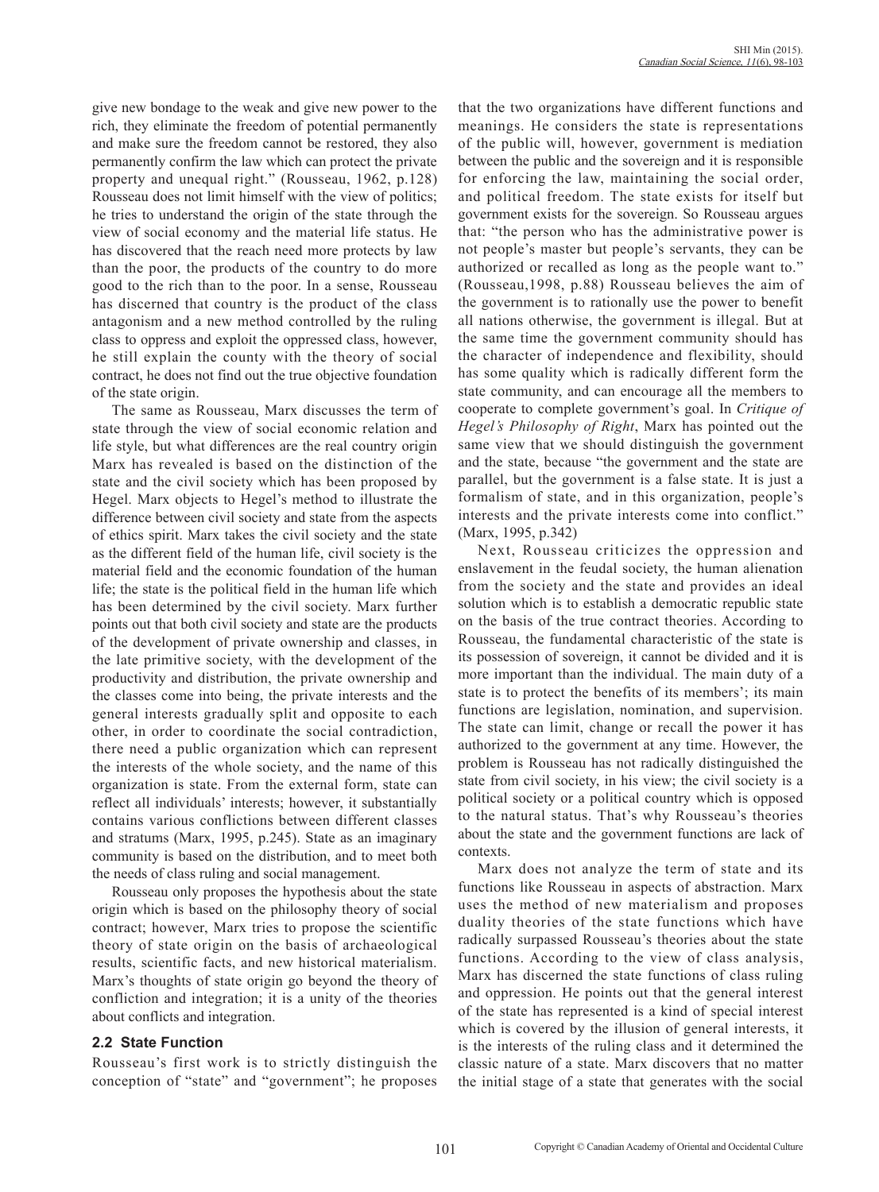give new bondage to the weak and give new power to the rich, they eliminate the freedom of potential permanently and make sure the freedom cannot be restored, they also permanently confirm the law which can protect the private property and unequal right." (Rousseau, 1962, p.128) Rousseau does not limit himself with the view of politics; he tries to understand the origin of the state through the view of social economy and the material life status. He has discovered that the reach need more protects by law than the poor, the products of the country to do more good to the rich than to the poor. In a sense, Rousseau has discerned that country is the product of the class antagonism and a new method controlled by the ruling class to oppress and exploit the oppressed class, however, he still explain the county with the theory of social contract, he does not find out the true objective foundation of the state origin.

The same as Rousseau, Marx discusses the term of state through the view of social economic relation and life style, but what differences are the real country origin Marx has revealed is based on the distinction of the state and the civil society which has been proposed by Hegel. Marx objects to Hegel's method to illustrate the difference between civil society and state from the aspects of ethics spirit. Marx takes the civil society and the state as the different field of the human life, civil society is the material field and the economic foundation of the human life; the state is the political field in the human life which has been determined by the civil society. Marx further points out that both civil society and state are the products of the development of private ownership and classes, in the late primitive society, with the development of the productivity and distribution, the private ownership and the classes come into being, the private interests and the general interests gradually split and opposite to each other, in order to coordinate the social contradiction, there need a public organization which can represent the interests of the whole society, and the name of this organization is state. From the external form, state can reflect all individuals' interests; however, it substantially contains various conflictions between different classes and stratums (Marx, 1995, p.245). State as an imaginary community is based on the distribution, and to meet both the needs of class ruling and social management.

Rousseau only proposes the hypothesis about the state origin which is based on the philosophy theory of social contract; however, Marx tries to propose the scientific theory of state origin on the basis of archaeological results, scientific facts, and new historical materialism. Marx's thoughts of state origin go beyond the theory of confliction and integration; it is a unity of the theories about conflicts and integration.

### **2.2 State Function**

Rousseau's first work is to strictly distinguish the conception of "state" and "government"; he proposes

that the two organizations have different functions and meanings. He considers the state is representations of the public will, however, government is mediation between the public and the sovereign and it is responsible for enforcing the law, maintaining the social order, and political freedom. The state exists for itself but government exists for the sovereign. So Rousseau argues that: "the person who has the administrative power is not people's master but people's servants, they can be authorized or recalled as long as the people want to." (Rousseau,1998, p.88) Rousseau believes the aim of the government is to rationally use the power to benefit all nations otherwise, the government is illegal. But at the same time the government community should has the character of independence and flexibility, should has some quality which is radically different form the state community, and can encourage all the members to cooperate to complete government's goal. In *Critique of Hegel's Philosophy of Right*, Marx has pointed out the same view that we should distinguish the government and the state, because "the government and the state are parallel, but the government is a false state. It is just a formalism of state, and in this organization, people's interests and the private interests come into conflict." (Marx, 1995, p.342)

Next, Rousseau criticizes the oppression and enslavement in the feudal society, the human alienation from the society and the state and provides an ideal solution which is to establish a democratic republic state on the basis of the true contract theories. According to Rousseau, the fundamental characteristic of the state is its possession of sovereign, it cannot be divided and it is more important than the individual. The main duty of a state is to protect the benefits of its members'; its main functions are legislation, nomination, and supervision. The state can limit, change or recall the power it has authorized to the government at any time. However, the problem is Rousseau has not radically distinguished the state from civil society, in his view; the civil society is a political society or a political country which is opposed to the natural status. That's why Rousseau's theories about the state and the government functions are lack of contexts.

Marx does not analyze the term of state and its functions like Rousseau in aspects of abstraction. Marx uses the method of new materialism and proposes duality theories of the state functions which have radically surpassed Rousseau's theories about the state functions. According to the view of class analysis, Marx has discerned the state functions of class ruling and oppression. He points out that the general interest of the state has represented is a kind of special interest which is covered by the illusion of general interests, it is the interests of the ruling class and it determined the classic nature of a state. Marx discovers that no matter the initial stage of a state that generates with the social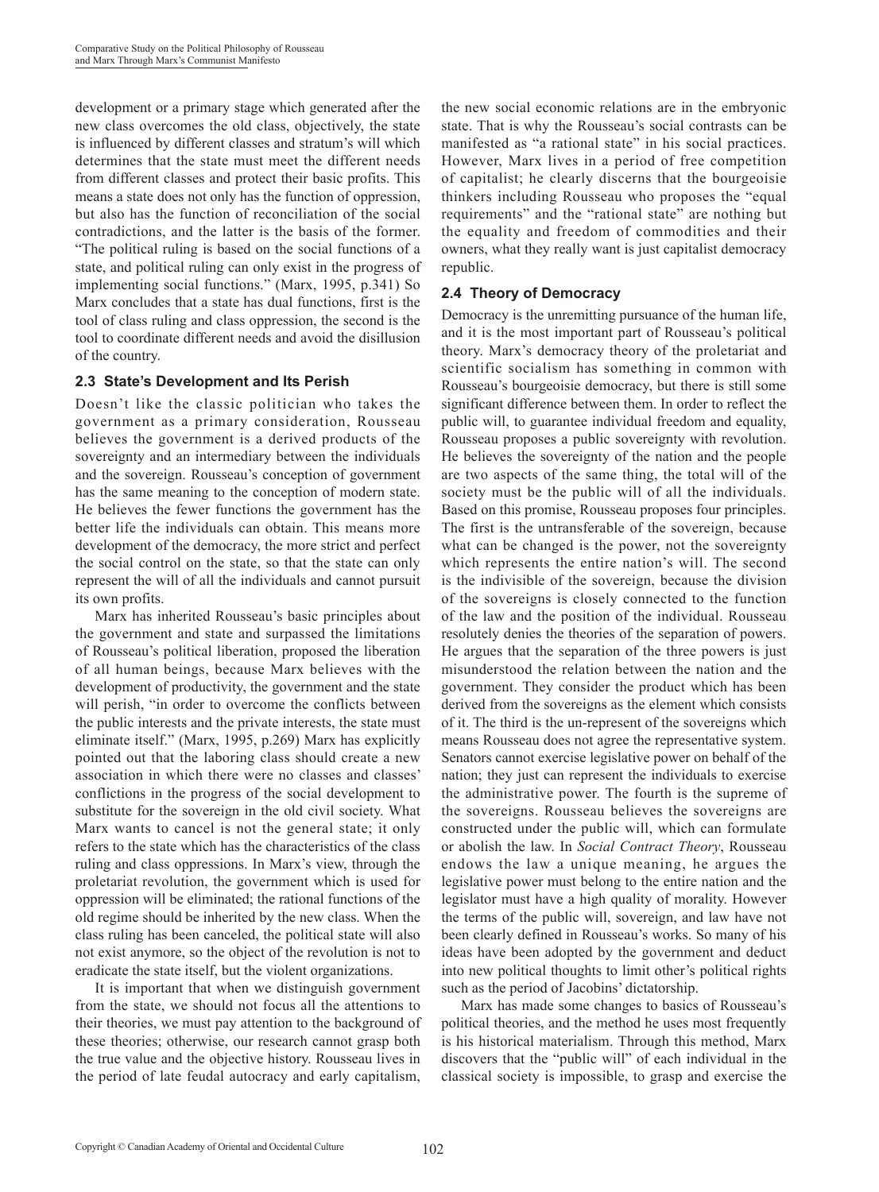development or a primary stage which generated after the new class overcomes the old class, objectively, the state is influenced by different classes and stratum's will which determines that the state must meet the different needs from different classes and protect their basic profits. This means a state does not only has the function of oppression, but also has the function of reconciliation of the social contradictions, and the latter is the basis of the former. "The political ruling is based on the social functions of a state, and political ruling can only exist in the progress of implementing social functions." (Marx, 1995, p.341) So Marx concludes that a state has dual functions, first is the tool of class ruling and class oppression, the second is the tool to coordinate different needs and avoid the disillusion of the country.

### **2.3 State's Development and Its Perish**

Doesn't like the classic politician who takes the government as a primary consideration, Rousseau believes the government is a derived products of the sovereignty and an intermediary between the individuals and the sovereign. Rousseau's conception of government has the same meaning to the conception of modern state. He believes the fewer functions the government has the better life the individuals can obtain. This means more development of the democracy, the more strict and perfect the social control on the state, so that the state can only represent the will of all the individuals and cannot pursuit its own profits.

Marx has inherited Rousseau's basic principles about the government and state and surpassed the limitations of Rousseau's political liberation, proposed the liberation of all human beings, because Marx believes with the development of productivity, the government and the state will perish, "in order to overcome the conflicts between the public interests and the private interests, the state must eliminate itself." (Marx, 1995, p.269) Marx has explicitly pointed out that the laboring class should create a new association in which there were no classes and classes' conflictions in the progress of the social development to substitute for the sovereign in the old civil society. What Marx wants to cancel is not the general state; it only refers to the state which has the characteristics of the class ruling and class oppressions. In Marx's view, through the proletariat revolution, the government which is used for oppression will be eliminated; the rational functions of the old regime should be inherited by the new class. When the class ruling has been canceled, the political state will also not exist anymore, so the object of the revolution is not to eradicate the state itself, but the violent organizations.

It is important that when we distinguish government from the state, we should not focus all the attentions to their theories, we must pay attention to the background of these theories; otherwise, our research cannot grasp both the true value and the objective history. Rousseau lives in the period of late feudal autocracy and early capitalism,

the new social economic relations are in the embryonic state. That is why the Rousseau's social contrasts can be manifested as "a rational state" in his social practices. However, Marx lives in a period of free competition of capitalist; he clearly discerns that the bourgeoisie thinkers including Rousseau who proposes the "equal requirements" and the "rational state" are nothing but the equality and freedom of commodities and their owners, what they really want is just capitalist democracy republic.

### **2.4 Theory of Democracy**

Democracy is the unremitting pursuance of the human life, and it is the most important part of Rousseau's political theory. Marx's democracy theory of the proletariat and scientific socialism has something in common with Rousseau's bourgeoisie democracy, but there is still some significant difference between them. In order to reflect the public will, to guarantee individual freedom and equality, Rousseau proposes a public sovereignty with revolution. He believes the sovereignty of the nation and the people are two aspects of the same thing, the total will of the society must be the public will of all the individuals. Based on this promise, Rousseau proposes four principles. The first is the untransferable of the sovereign, because what can be changed is the power, not the sovereignty which represents the entire nation's will. The second is the indivisible of the sovereign, because the division of the sovereigns is closely connected to the function of the law and the position of the individual. Rousseau resolutely denies the theories of the separation of powers. He argues that the separation of the three powers is just misunderstood the relation between the nation and the government. They consider the product which has been derived from the sovereigns as the element which consists of it. The third is the un-represent of the sovereigns which means Rousseau does not agree the representative system. Senators cannot exercise legislative power on behalf of the nation; they just can represent the individuals to exercise the administrative power. The fourth is the supreme of the sovereigns. Rousseau believes the sovereigns are constructed under the public will, which can formulate or abolish the law. In *Social Contract Theory*, Rousseau endows the law a unique meaning, he argues the legislative power must belong to the entire nation and the legislator must have a high quality of morality. However the terms of the public will, sovereign, and law have not been clearly defined in Rousseau's works. So many of his ideas have been adopted by the government and deduct into new political thoughts to limit other's political rights such as the period of Jacobins' dictatorship.

Marx has made some changes to basics of Rousseau's political theories, and the method he uses most frequently is his historical materialism. Through this method, Marx discovers that the "public will" of each individual in the classical society is impossible, to grasp and exercise the